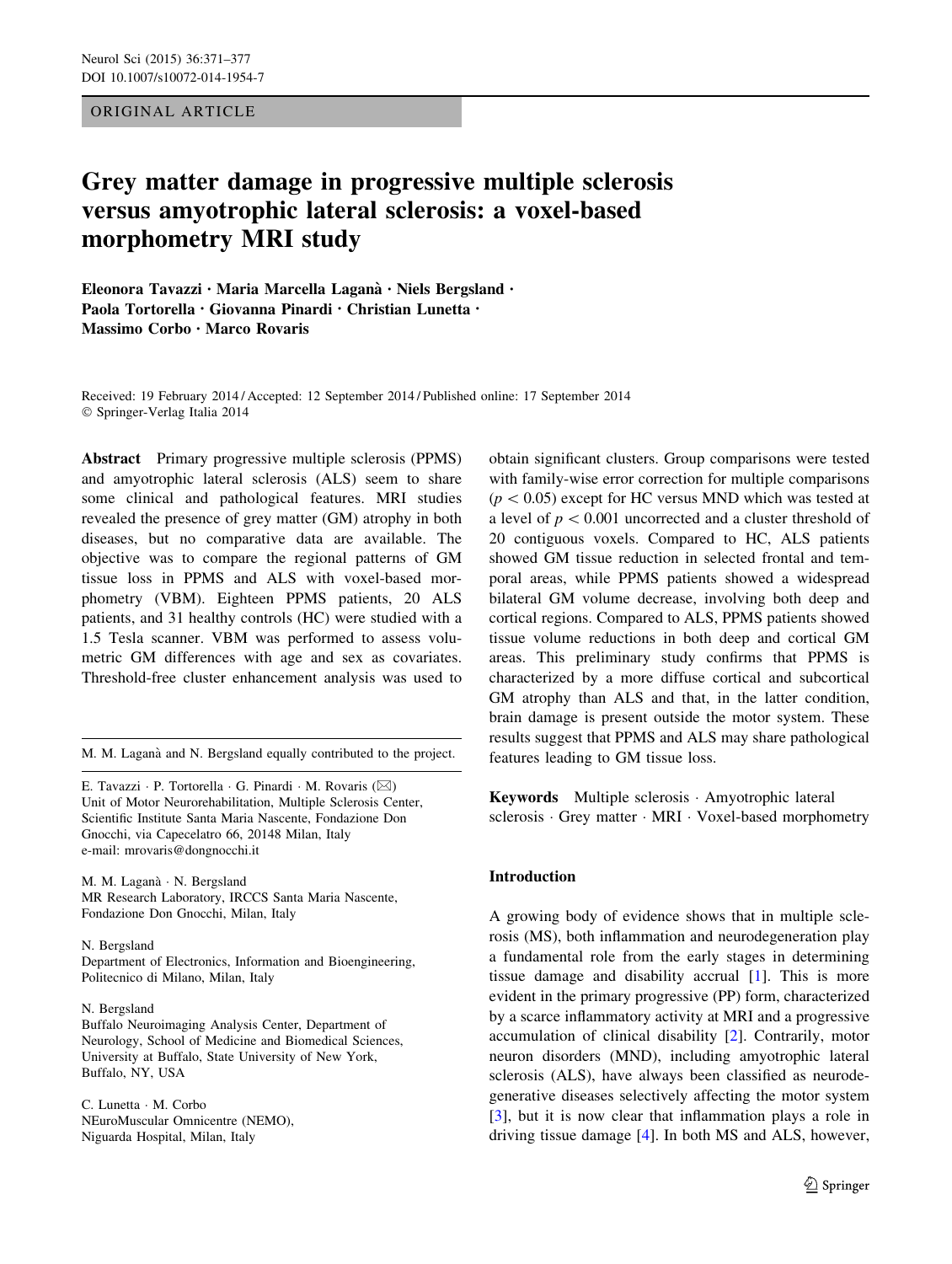ORIGINAL ARTICLE

# Grey matter damage in progressive multiple sclerosis versus amyotrophic lateral sclerosis: a voxel-based morphometry MRI study

Eleonora Tavazzi • Maria Marcella Lagana` • Niels Bergsland • Paola Tortorella • Giovanna Pinardi • Christian Lunetta • Massimo Corbo • Marco Rovaris

Received: 19 February 2014 / Accepted: 12 September 2014 / Published online: 17 September 2014 - Springer-Verlag Italia 2014

Abstract Primary progressive multiple sclerosis (PPMS) and amyotrophic lateral sclerosis (ALS) seem to share some clinical and pathological features. MRI studies revealed the presence of grey matter (GM) atrophy in both diseases, but no comparative data are available. The objective was to compare the regional patterns of GM tissue loss in PPMS and ALS with voxel-based morphometry (VBM). Eighteen PPMS patients, 20 ALS patients, and 31 healthy controls (HC) were studied with a 1.5 Tesla scanner. VBM was performed to assess volumetric GM differences with age and sex as covariates. Threshold-free cluster enhancement analysis was used to

M. M. Laganà and N. Bergsland equally contributed to the project.

E. Tavazzi · P. Tortorella · G. Pinardi · M. Rovaris (⊠) Unit of Motor Neurorehabilitation, Multiple Sclerosis Center, Scientific Institute Santa Maria Nascente, Fondazione Don Gnocchi, via Capecelatro 66, 20148 Milan, Italy e-mail: mrovaris@dongnocchi.it

M. M. Laganà · N. Bergsland MR Research Laboratory, IRCCS Santa Maria Nascente, Fondazione Don Gnocchi, Milan, Italy

N. Bergsland

Department of Electronics, Information and Bioengineering, Politecnico di Milano, Milan, Italy

N. Bergsland

Buffalo Neuroimaging Analysis Center, Department of Neurology, School of Medicine and Biomedical Sciences, University at Buffalo, State University of New York, Buffalo, NY, USA

C. Lunetta - M. Corbo NEuroMuscular Omnicentre (NEMO), Niguarda Hospital, Milan, Italy

obtain significant clusters. Group comparisons were tested with family-wise error correction for multiple comparisons  $(p<0.05)$  except for HC versus MND which was tested at a level of  $p < 0.001$  uncorrected and a cluster threshold of 20 contiguous voxels. Compared to HC, ALS patients showed GM tissue reduction in selected frontal and temporal areas, while PPMS patients showed a widespread bilateral GM volume decrease, involving both deep and cortical regions. Compared to ALS, PPMS patients showed tissue volume reductions in both deep and cortical GM areas. This preliminary study confirms that PPMS is characterized by a more diffuse cortical and subcortical GM atrophy than ALS and that, in the latter condition, brain damage is present outside the motor system. These results suggest that PPMS and ALS may share pathological features leading to GM tissue loss.

Keywords Multiple sclerosis - Amyotrophic lateral sclerosis · Grey matter · MRI · Voxel-based morphometry

# Introduction

A growing body of evidence shows that in multiple sclerosis (MS), both inflammation and neurodegeneration play a fundamental role from the early stages in determining tissue damage and disability accrual [[1\]](#page-5-0). This is more evident in the primary progressive (PP) form, characterized by a scarce inflammatory activity at MRI and a progressive accumulation of clinical disability [[2\]](#page-5-0). Contrarily, motor neuron disorders (MND), including amyotrophic lateral sclerosis (ALS), have always been classified as neurodegenerative diseases selectively affecting the motor system [\[3](#page-5-0)], but it is now clear that inflammation plays a role in driving tissue damage [[4\]](#page-5-0). In both MS and ALS, however,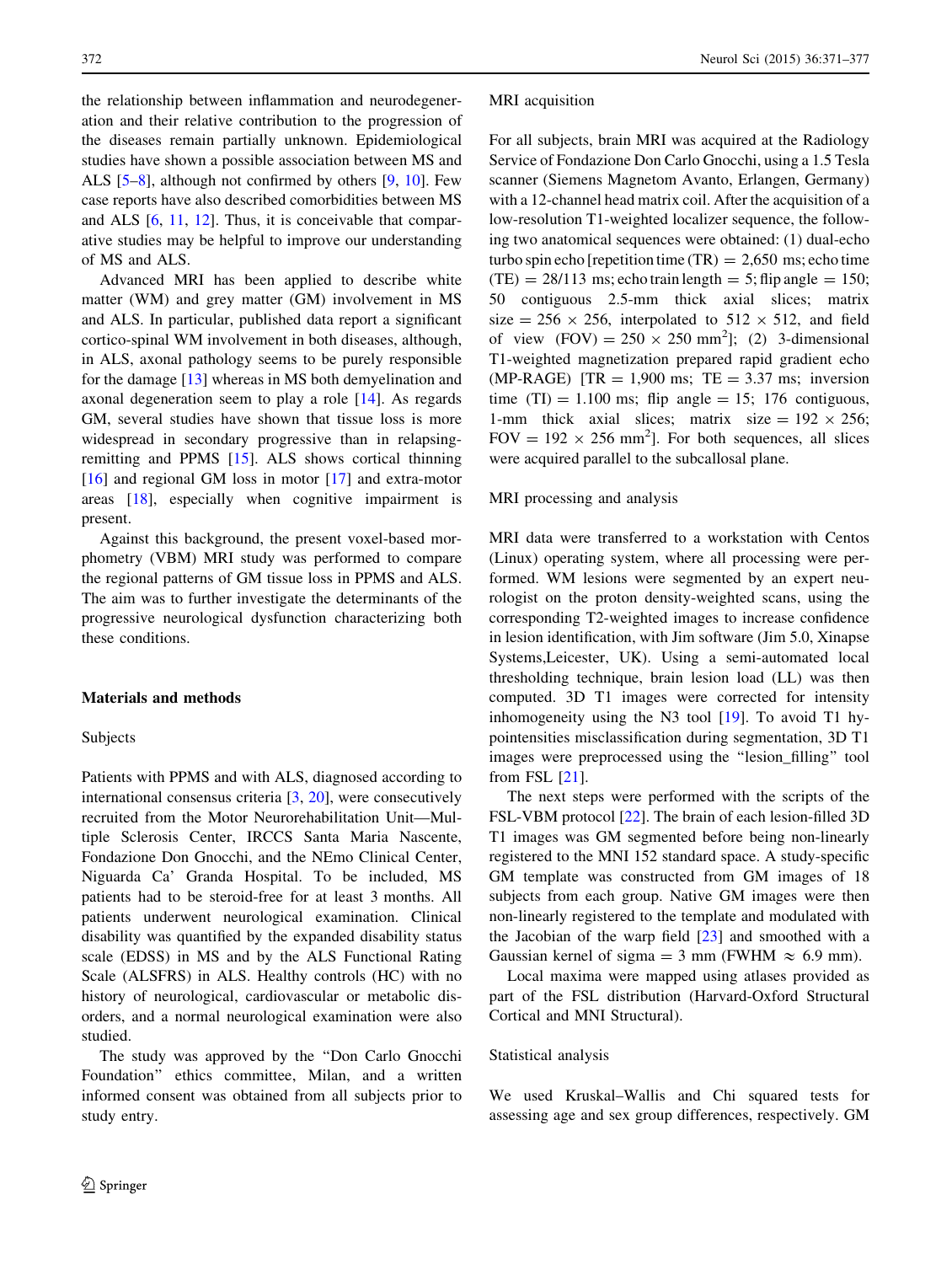the relationship between inflammation and neurodegeneration and their relative contribution to the progression of the diseases remain partially unknown. Epidemiological studies have shown a possible association between MS and ALS [\[5–8](#page-5-0)], although not confirmed by others [\[9](#page-5-0), [10\]](#page-5-0). Few case reports have also described comorbidities between MS and ALS [[6,](#page-5-0) [11](#page-5-0), [12](#page-5-0)]. Thus, it is conceivable that comparative studies may be helpful to improve our understanding of MS and ALS.

Advanced MRI has been applied to describe white matter (WM) and grey matter (GM) involvement in MS and ALS. In particular, published data report a significant cortico-spinal WM involvement in both diseases, although, in ALS, axonal pathology seems to be purely responsible for the damage [[13\]](#page-5-0) whereas in MS both demyelination and axonal degeneration seem to play a role [\[14](#page-5-0)]. As regards GM, several studies have shown that tissue loss is more widespread in secondary progressive than in relapsingremitting and PPMS [\[15](#page-5-0)]. ALS shows cortical thinning [\[16](#page-5-0)] and regional GM loss in motor [[17\]](#page-5-0) and extra-motor areas [[18\]](#page-5-0), especially when cognitive impairment is present.

Against this background, the present voxel-based morphometry (VBM) MRI study was performed to compare the regional patterns of GM tissue loss in PPMS and ALS. The aim was to further investigate the determinants of the progressive neurological dysfunction characterizing both these conditions.

# Materials and methods

#### Subjects

Patients with PPMS and with ALS, diagnosed according to international consensus criteria [[3,](#page-5-0) [20](#page-5-0)], were consecutively recruited from the Motor Neurorehabilitation Unit—Multiple Sclerosis Center, IRCCS Santa Maria Nascente, Fondazione Don Gnocchi, and the NEmo Clinical Center, Niguarda Ca' Granda Hospital. To be included, MS patients had to be steroid-free for at least 3 months. All patients underwent neurological examination. Clinical disability was quantified by the expanded disability status scale (EDSS) in MS and by the ALS Functional Rating Scale (ALSFRS) in ALS. Healthy controls (HC) with no history of neurological, cardiovascular or metabolic disorders, and a normal neurological examination were also studied.

The study was approved by the ''Don Carlo Gnocchi Foundation'' ethics committee, Milan, and a written informed consent was obtained from all subjects prior to study entry.

#### MRI acquisition

For all subjects, brain MRI was acquired at the Radiology Service of Fondazione Don Carlo Gnocchi, using a 1.5 Tesla scanner (Siemens Magnetom Avanto, Erlangen, Germany) with a 12-channel head matrix coil. After the acquisition of a low-resolution T1-weighted localizer sequence, the following two anatomical sequences were obtained: (1) dual-echo turbo spin echo [repetition time (TR) =  $2,650$  ms; echo time  $(TE) = 28/113$  ms; echo train length = 5; flip angle = 150; 50 contiguous 2.5-mm thick axial slices; matrix size = 256  $\times$  256, interpolated to 512  $\times$  512, and field of view  $(FOV) = 250 \times 250$  mm<sup>2</sup>]; (2) 3-dimensional T1-weighted magnetization prepared rapid gradient echo (MP-RAGE)  $[TR = 1,900$  ms;  $TE = 3.37$  ms; inversion time (TI)  $= 1.100$  ms; flip angle  $= 15$ ; 176 contiguous, 1-mm thick axial slices; matrix size =  $192 \times 256$ ; FOV =  $192 \times 256$  mm<sup>2</sup>]. For both sequences, all slices were acquired parallel to the subcallosal plane.

# MRI processing and analysis

MRI data were transferred to a workstation with Centos (Linux) operating system, where all processing were performed. WM lesions were segmented by an expert neurologist on the proton density-weighted scans, using the corresponding T2-weighted images to increase confidence in lesion identification, with Jim software (Jim 5.0, Xinapse Systems,Leicester, UK). Using a semi-automated local thresholding technique, brain lesion load (LL) was then computed. 3D T1 images were corrected for intensity inhomogeneity using the N3 tool [\[19](#page-5-0)]. To avoid T1 hypointensities misclassification during segmentation, 3D T1 images were preprocessed using the ''lesion\_filling'' tool from FSL [[21\]](#page-6-0).

The next steps were performed with the scripts of the FSL-VBM protocol [[22\]](#page-6-0). The brain of each lesion-filled 3D T1 images was GM segmented before being non-linearly registered to the MNI 152 standard space. A study-specific GM template was constructed from GM images of 18 subjects from each group. Native GM images were then non-linearly registered to the template and modulated with the Jacobian of the warp field [\[23](#page-6-0)] and smoothed with a Gaussian kernel of sigma = 3 mm (FWHM  $\approx$  6.9 mm).

Local maxima were mapped using atlases provided as part of the FSL distribution (Harvard-Oxford Structural Cortical and MNI Structural).

#### Statistical analysis

We used Kruskal–Wallis and Chi squared tests for assessing age and sex group differences, respectively. GM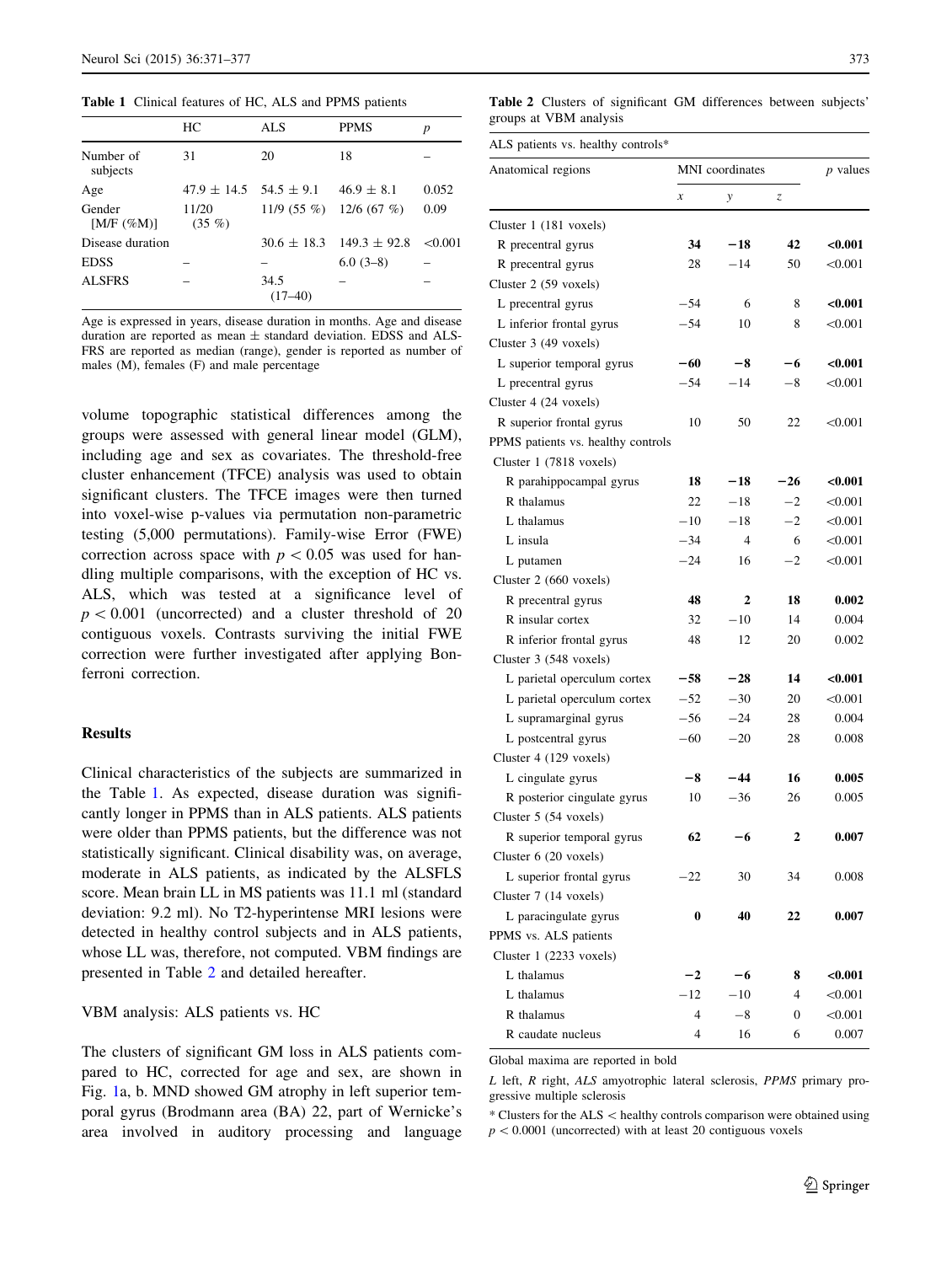Table 1 Clinical features of HC, ALS and PPMS patients

|                       | HС                             | <b>ALS</b>          | <b>PPMS</b>      | p       |
|-----------------------|--------------------------------|---------------------|------------------|---------|
| Number of<br>subjects | 31                             | 20                  | 18               |         |
| Age                   | $47.9 \pm 14.5$ $54.5 \pm 9.1$ |                     | $46.9 \pm 8.1$   | 0.052   |
| Gender<br>[M/F (%M)]  | 11/20<br>$(35 \%)$             | $11/9(55\%)$        | $12/6$ (67 %)    | 0.09    |
| Disease duration      |                                | $30.6 \pm 18.3$     | $149.3 \pm 92.8$ | < 0.001 |
| <b>EDSS</b>           |                                |                     | $6.0(3-8)$       |         |
| <b>ALSERS</b>         |                                | 34.5<br>$(17 - 40)$ |                  |         |

Age is expressed in years, disease duration in months. Age and disease duration are reported as mean  $\pm$  standard deviation. EDSS and ALS-FRS are reported as median (range), gender is reported as number of males (M), females (F) and male percentage

volume topographic statistical differences among the groups were assessed with general linear model (GLM), including age and sex as covariates. The threshold-free cluster enhancement (TFCE) analysis was used to obtain significant clusters. The TFCE images were then turned into voxel-wise p-values via permutation non-parametric testing (5,000 permutations). Family-wise Error (FWE) correction across space with  $p<0.05$  was used for handling multiple comparisons, with the exception of HC vs. ALS, which was tested at a significance level of  $p<0.001$  (uncorrected) and a cluster threshold of 20 contiguous voxels. Contrasts surviving the initial FWE correction were further investigated after applying Bonferroni correction.

# Results

Clinical characteristics of the subjects are summarized in the Table 1. As expected, disease duration was significantly longer in PPMS than in ALS patients. ALS patients were older than PPMS patients, but the difference was not statistically significant. Clinical disability was, on average, moderate in ALS patients, as indicated by the ALSFLS score. Mean brain LL in MS patients was 11.1 ml (standard deviation: 9.2 ml). No T2-hyperintense MRI lesions were detected in healthy control subjects and in ALS patients, whose LL was, therefore, not computed. VBM findings are presented in Table 2 and detailed hereafter.

VBM analysis: ALS patients vs. HC

The clusters of significant GM loss in ALS patients compared to HC, corrected for age and sex, are shown in Fig. [1](#page-3-0)a, b. MND showed GM atrophy in left superior temporal gyrus (Brodmann area (BA) 22, part of Wernicke's area involved in auditory processing and language

Table 2 Clusters of significant GM differences between subjects' groups at VBM analysis

| ALS patients vs. healthy controls* |                     |                 |                  |         |
|------------------------------------|---------------------|-----------------|------------------|---------|
| Anatomical regions                 |                     | MNI coordinates |                  |         |
|                                    | $\boldsymbol{\chi}$ | y               | Z                |         |
| Cluster 1 (181 voxels)             |                     |                 |                  |         |
| R precentral gyrus                 | 34                  | $-18$           | 42               | < 0.001 |
| R precentral gyrus                 | 28                  | $-14$           | 50               | < 0.001 |
| Cluster 2 (59 voxels)              |                     |                 |                  |         |
| L precentral gyrus                 | $-54$               | 6               | 8                | < 0.001 |
| L inferior frontal gyrus           | $-54$               | 10              | 8                | < 0.001 |
| Cluster 3 (49 voxels)              |                     |                 |                  |         |
| L superior temporal gyrus          | $-60$               | -8              | -6               | < 0.001 |
| L precentral gyrus                 | $-54$               | $-14$           | $-8$             | < 0.001 |
| Cluster 4 (24 voxels)              |                     |                 |                  |         |
| R superior frontal gyrus           | 10                  | 50              | 22               | < 0.001 |
| PPMS patients vs. healthy controls |                     |                 |                  |         |
| Cluster 1 (7818 voxels)            |                     |                 |                  |         |
| R parahippocampal gyrus            | 18                  | $-18$           | $-26$            | < 0.001 |
| R thalamus                         | 22                  | $-18$           | $-2$             | < 0.001 |
| L thalamus                         | $-10$               | $-18$           | $-2$             | < 0.001 |
| L insula                           | $-34$               | 4               | 6                | < 0.001 |
| L putamen                          | $^{-24}$            | 16              | $-2$             | < 0.001 |
| Cluster 2 (660 voxels)             |                     |                 |                  |         |
| R precentral gyrus                 | 48                  | 2               | 18               | 0.002   |
| R insular cortex                   | 32                  | $-10$           | 14               | 0.004   |
| R inferior frontal gyrus           | 48                  | 12              | 20               | 0.002   |
| Cluster 3 (548 voxels)             |                     |                 |                  |         |
| L parietal operculum cortex        | $-58$               | $-28$           | 14               | < 0.001 |
| L parietal operculum cortex        | $-52$               | $-30$           | 20               | < 0.001 |
| L supramarginal gyrus              | $-56$               | $-24$           | 28               | 0.004   |
| L postcentral gyrus                | $-60$               | $-20$           | 28               | 0.008   |
| Cluster 4 (129 voxels)             |                     |                 |                  |         |
| L cingulate gyrus                  | -8                  | $-44$           | 16               | 0.005   |
| R posterior cingulate gyrus        | 10                  | $-36$           | 26               | 0.005   |
| Cluster 5 (54 voxels)              |                     |                 |                  |         |
| R superior temporal gyrus          | 62                  | $-6$            | $\mathbf 2$      | 0.007   |
| Cluster 6 (20 voxels)              |                     |                 |                  |         |
| L superior frontal gyrus           | $^{-22}$            | 30              | 34               | 0.008   |
| Cluster 7 (14 voxels)              |                     |                 |                  |         |
| L paracingulate gyrus              | 0                   | 40              | 22               | 0.007   |
| PPMS vs. ALS patients              |                     |                 |                  |         |
| Cluster $1(2233 \text{ voxels})$   |                     |                 |                  |         |
| L thalamus                         | $^{-2}$             | -6              | 8                | < 0.001 |
| L thalamus                         | $-12$               | $-10$           | $\overline{4}$   | < 0.001 |
| R thalamus                         | 4                   | $-8$            | $\boldsymbol{0}$ | < 0.001 |
| R caudate nucleus                  | 4                   | 16              | 6                | 0.007   |
|                                    |                     |                 |                  |         |

Global maxima are reported in bold

L left, R right, ALS amyotrophic lateral sclerosis, PPMS primary progressive multiple sclerosis

 $*$  Clusters for the ALS  $\lt$  healthy controls comparison were obtained using  $p < 0.0001$  (uncorrected) with at least 20 contiguous voxels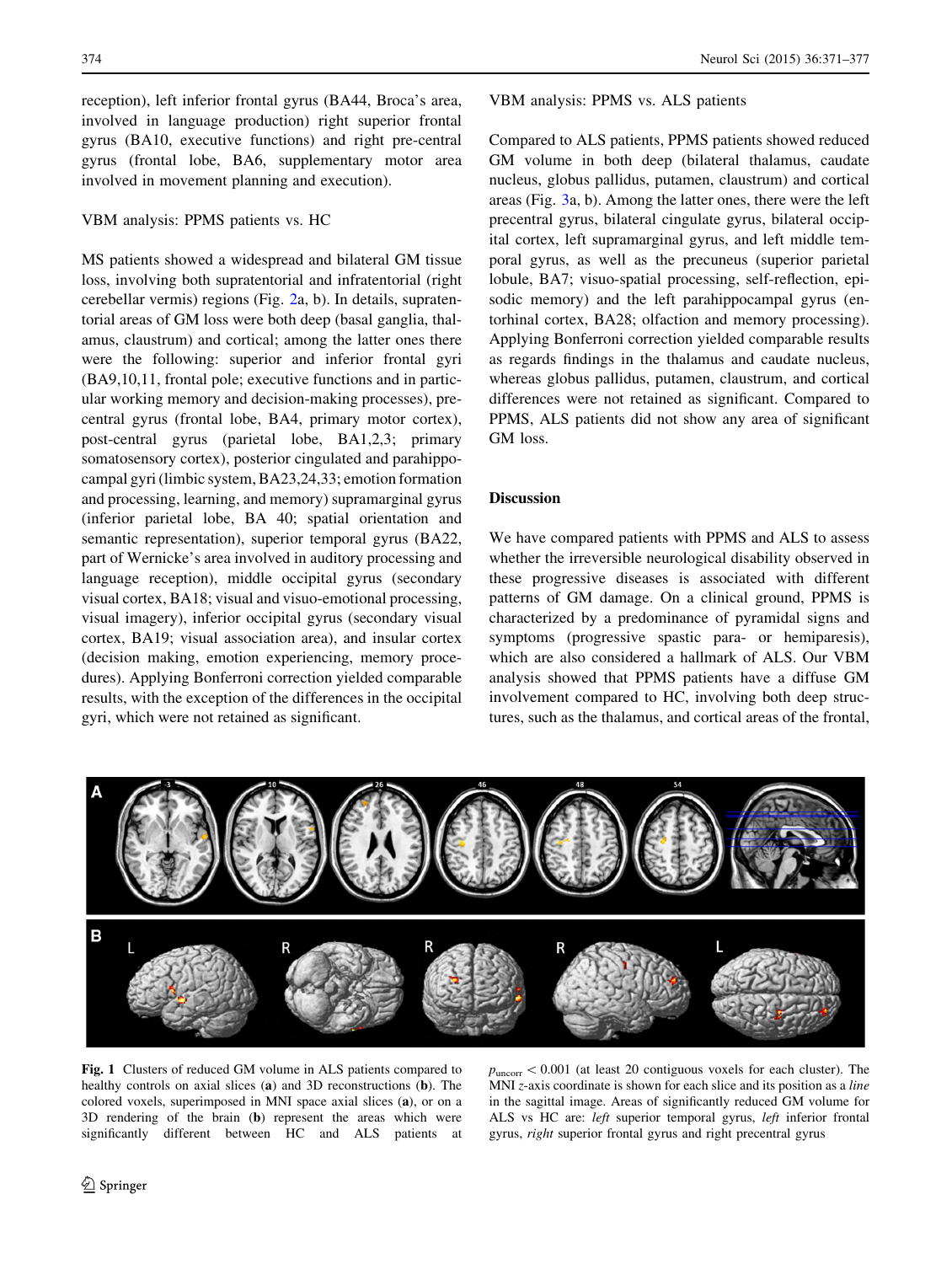<span id="page-3-0"></span>reception), left inferior frontal gyrus (BA44, Broca's area, involved in language production) right superior frontal gyrus (BA10, executive functions) and right pre-central gyrus (frontal lobe, BA6, supplementary motor area involved in movement planning and execution).

# VBM analysis: PPMS patients vs. HC

MS patients showed a widespread and bilateral GM tissue loss, involving both supratentorial and infratentorial (right cerebellar vermis) regions (Fig. [2](#page-4-0)a, b). In details, supratentorial areas of GM loss were both deep (basal ganglia, thalamus, claustrum) and cortical; among the latter ones there were the following: superior and inferior frontal gyri (BA9,10,11, frontal pole; executive functions and in particular working memory and decision-making processes), precentral gyrus (frontal lobe, BA4, primary motor cortex), post-central gyrus (parietal lobe, BA1,2,3; primary somatosensory cortex), posterior cingulated and parahippocampal gyri (limbic system, BA23,24,33; emotion formation and processing, learning, and memory) supramarginal gyrus (inferior parietal lobe, BA 40; spatial orientation and semantic representation), superior temporal gyrus (BA22, part of Wernicke's area involved in auditory processing and language reception), middle occipital gyrus (secondary visual cortex, BA18; visual and visuo-emotional processing, visual imagery), inferior occipital gyrus (secondary visual cortex, BA19; visual association area), and insular cortex (decision making, emotion experiencing, memory procedures). Applying Bonferroni correction yielded comparable results, with the exception of the differences in the occipital gyri, which were not retained as significant.

#### VBM analysis: PPMS vs. ALS patients

Compared to ALS patients, PPMS patients showed reduced GM volume in both deep (bilateral thalamus, caudate nucleus, globus pallidus, putamen, claustrum) and cortical areas (Fig. [3](#page-4-0)a, b). Among the latter ones, there were the left precentral gyrus, bilateral cingulate gyrus, bilateral occipital cortex, left supramarginal gyrus, and left middle temporal gyrus, as well as the precuneus (superior parietal lobule, BA7; visuo-spatial processing, self-reflection, episodic memory) and the left parahippocampal gyrus (entorhinal cortex, BA28; olfaction and memory processing). Applying Bonferroni correction yielded comparable results as regards findings in the thalamus and caudate nucleus, whereas globus pallidus, putamen, claustrum, and cortical differences were not retained as significant. Compared to PPMS, ALS patients did not show any area of significant GM loss.

# Discussion

We have compared patients with PPMS and ALS to assess whether the irreversible neurological disability observed in these progressive diseases is associated with different patterns of GM damage. On a clinical ground, PPMS is characterized by a predominance of pyramidal signs and symptoms (progressive spastic para- or hemiparesis), which are also considered a hallmark of ALS. Our VBM analysis showed that PPMS patients have a diffuse GM involvement compared to HC, involving both deep structures, such as the thalamus, and cortical areas of the frontal,



Fig. 1 Clusters of reduced GM volume in ALS patients compared to healthy controls on axial slices (a) and 3D reconstructions (b). The colored voxels, superimposed in MNI space axial slices (a), or on a 3D rendering of the brain (b) represent the areas which were significantly different between HC and ALS patients at

 $p_{\text{uncorr}} < 0.001$  (at least 20 contiguous voxels for each cluster). The MNI  $z$ -axis coordinate is shown for each slice and its position as a *line* in the sagittal image. Areas of significantly reduced GM volume for ALS vs HC are: left superior temporal gyrus, left inferior frontal gyrus, right superior frontal gyrus and right precentral gyrus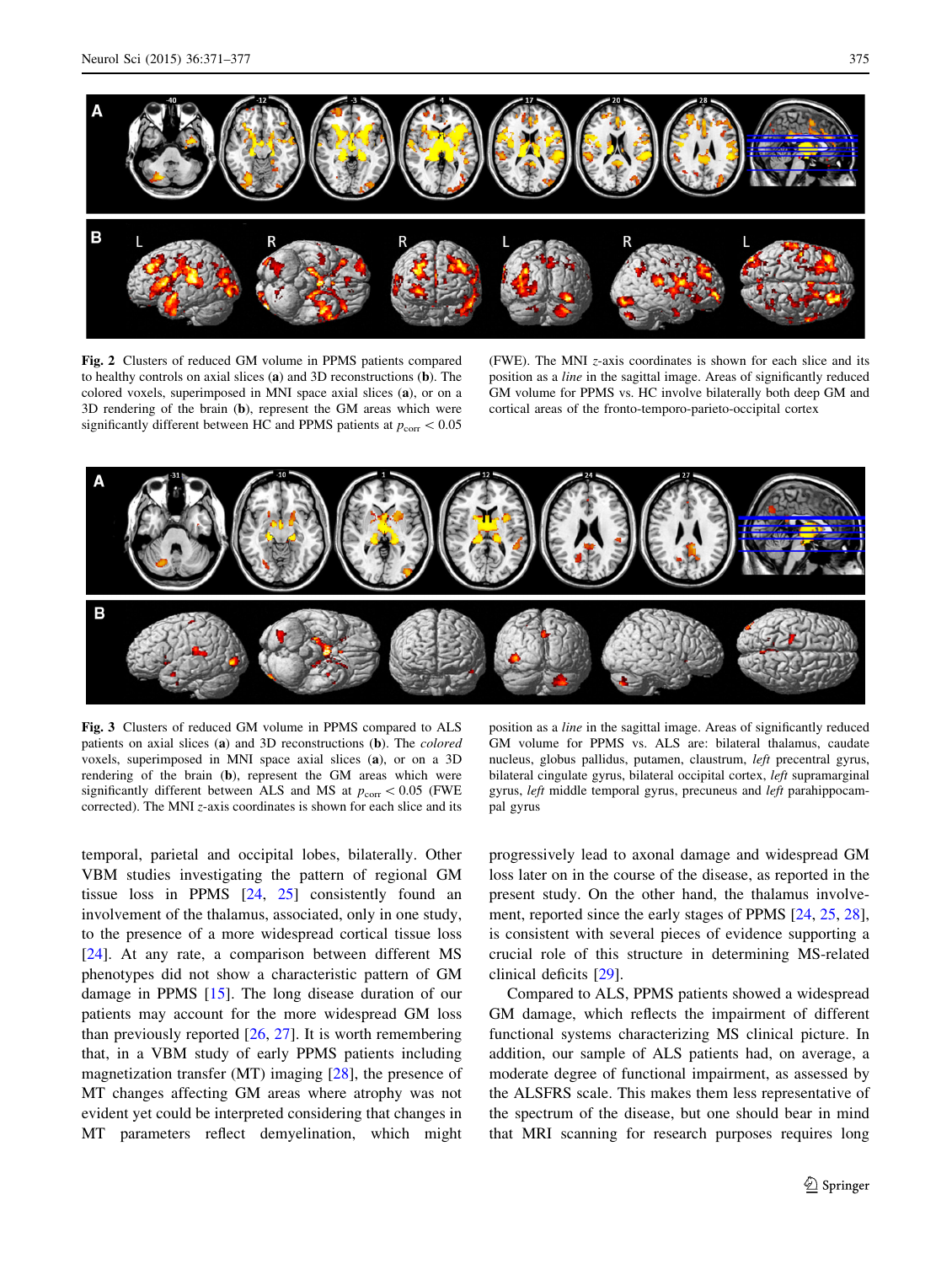<span id="page-4-0"></span>

Fig. 2 Clusters of reduced GM volume in PPMS patients compared to healthy controls on axial slices (a) and 3D reconstructions (b). The colored voxels, superimposed in MNI space axial slices (a), or on a 3D rendering of the brain (b), represent the GM areas which were significantly different between HC and PPMS patients at  $p_{corr} < 0.05$ 

(FWE). The MNI z-axis coordinates is shown for each slice and its position as a line in the sagittal image. Areas of significantly reduced GM volume for PPMS vs. HC involve bilaterally both deep GM and cortical areas of the fronto-temporo-parieto-occipital cortex



Fig. 3 Clusters of reduced GM volume in PPMS compared to ALS patients on axial slices (a) and 3D reconstructions (b). The colored voxels, superimposed in MNI space axial slices (a), or on a 3D rendering of the brain (b), represent the GM areas which were significantly different between ALS and MS at  $p_{corr} < 0.05$  (FWE corrected). The MNI z-axis coordinates is shown for each slice and its

temporal, parietal and occipital lobes, bilaterally. Other VBM studies investigating the pattern of regional GM tissue loss in PPMS [\[24](#page-6-0), [25\]](#page-6-0) consistently found an involvement of the thalamus, associated, only in one study, to the presence of a more widespread cortical tissue loss [\[24](#page-6-0)]. At any rate, a comparison between different MS phenotypes did not show a characteristic pattern of GM damage in PPMS [\[15](#page-5-0)]. The long disease duration of our patients may account for the more widespread GM loss than previously reported  $[26, 27]$  $[26, 27]$  $[26, 27]$ . It is worth remembering that, in a VBM study of early PPMS patients including magnetization transfer (MT) imaging [[28](#page-6-0)], the presence of MT changes affecting GM areas where atrophy was not evident yet could be interpreted considering that changes in MT parameters reflect demyelination, which might

position as a line in the sagittal image. Areas of significantly reduced GM volume for PPMS vs. ALS are: bilateral thalamus, caudate nucleus, globus pallidus, putamen, claustrum, left precentral gyrus, bilateral cingulate gyrus, bilateral occipital cortex, left supramarginal gyrus, left middle temporal gyrus, precuneus and left parahippocampal gyrus

progressively lead to axonal damage and widespread GM loss later on in the course of the disease, as reported in the present study. On the other hand, the thalamus involvement, reported since the early stages of PPMS [\[24](#page-6-0), [25](#page-6-0), [28](#page-6-0)], is consistent with several pieces of evidence supporting a crucial role of this structure in determining MS-related clinical deficits [[29\]](#page-6-0).

Compared to ALS, PPMS patients showed a widespread GM damage, which reflects the impairment of different functional systems characterizing MS clinical picture. In addition, our sample of ALS patients had, on average, a moderate degree of functional impairment, as assessed by the ALSFRS scale. This makes them less representative of the spectrum of the disease, but one should bear in mind that MRI scanning for research purposes requires long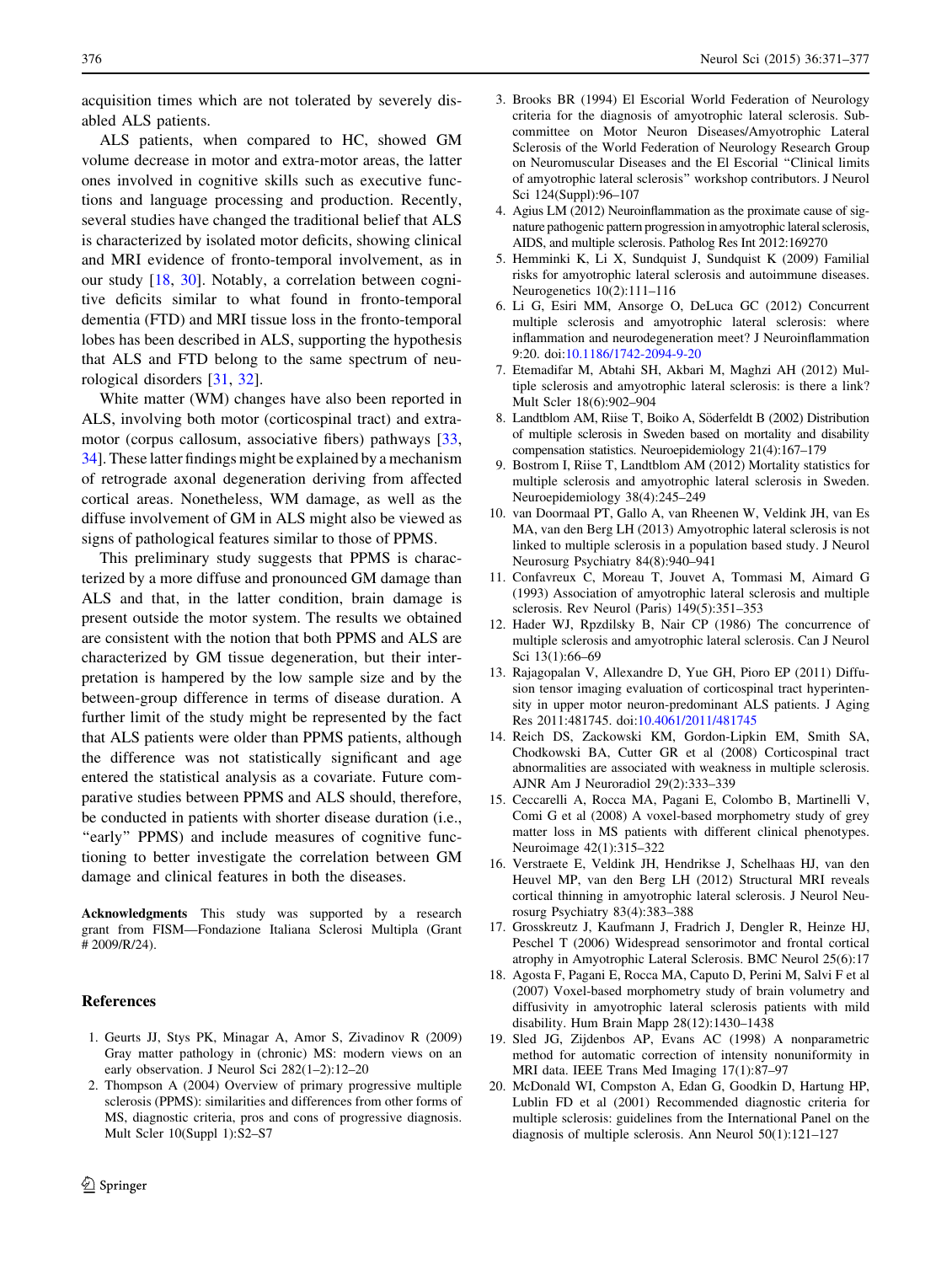<span id="page-5-0"></span>acquisition times which are not tolerated by severely disabled ALS patients.

ALS patients, when compared to HC, showed GM volume decrease in motor and extra-motor areas, the latter ones involved in cognitive skills such as executive functions and language processing and production. Recently, several studies have changed the traditional belief that ALS is characterized by isolated motor deficits, showing clinical and MRI evidence of fronto-temporal involvement, as in our study [18, [30\]](#page-6-0). Notably, a correlation between cognitive deficits similar to what found in fronto-temporal dementia (FTD) and MRI tissue loss in the fronto-temporal lobes has been described in ALS, supporting the hypothesis that ALS and FTD belong to the same spectrum of neurological disorders [\[31](#page-6-0), [32](#page-6-0)].

White matter (WM) changes have also been reported in ALS, involving both motor (corticospinal tract) and extramotor (corpus callosum, associative fibers) pathways [[33,](#page-6-0) [34](#page-6-0)]. These latter findings might be explained by a mechanism of retrograde axonal degeneration deriving from affected cortical areas. Nonetheless, WM damage, as well as the diffuse involvement of GM in ALS might also be viewed as signs of pathological features similar to those of PPMS.

This preliminary study suggests that PPMS is characterized by a more diffuse and pronounced GM damage than ALS and that, in the latter condition, brain damage is present outside the motor system. The results we obtained are consistent with the notion that both PPMS and ALS are characterized by GM tissue degeneration, but their interpretation is hampered by the low sample size and by the between-group difference in terms of disease duration. A further limit of the study might be represented by the fact that ALS patients were older than PPMS patients, although the difference was not statistically significant and age entered the statistical analysis as a covariate. Future comparative studies between PPMS and ALS should, therefore, be conducted in patients with shorter disease duration (i.e., "early" PPMS) and include measures of cognitive functioning to better investigate the correlation between GM damage and clinical features in both the diseases.

Acknowledgments This study was supported by a research grant from FISM—Fondazione Italiana Sclerosi Multipla (Grant # 2009/R/24).

### References

- 1. Geurts JJ, Stys PK, Minagar A, Amor S, Zivadinov R (2009) Gray matter pathology in (chronic) MS: modern views on an early observation. J Neurol Sci 282(1–2):12–20
- 2. Thompson A (2004) Overview of primary progressive multiple sclerosis (PPMS): similarities and differences from other forms of MS, diagnostic criteria, pros and cons of progressive diagnosis. Mult Scler 10(Suppl 1):S2–S7
- 3. Brooks BR (1994) El Escorial World Federation of Neurology criteria for the diagnosis of amyotrophic lateral sclerosis. Subcommittee on Motor Neuron Diseases/Amyotrophic Lateral Sclerosis of the World Federation of Neurology Research Group on Neuromuscular Diseases and the El Escorial ''Clinical limits of amyotrophic lateral sclerosis'' workshop contributors. J Neurol Sci 124(Suppl):96–107
- 4. Agius LM (2012) Neuroinflammation as the proximate cause of signature pathogenic pattern progression in amyotrophic lateral sclerosis, AIDS, and multiple sclerosis. Patholog Res Int 2012:169270
- 5. Hemminki K, Li X, Sundquist J, Sundquist K (2009) Familial risks for amyotrophic lateral sclerosis and autoimmune diseases. Neurogenetics 10(2):111–116
- 6. Li G, Esiri MM, Ansorge O, DeLuca GC (2012) Concurrent multiple sclerosis and amyotrophic lateral sclerosis: where inflammation and neurodegeneration meet? J Neuroinflammation 9:20. doi[:10.1186/1742-2094-9-20](http://dx.doi.org/10.1186/1742-2094-9-20)
- 7. Etemadifar M, Abtahi SH, Akbari M, Maghzi AH (2012) Multiple sclerosis and amyotrophic lateral sclerosis: is there a link? Mult Scler 18(6):902–904
- 8. Landtblom AM, Riise T, Boiko A, Söderfeldt B (2002) Distribution of multiple sclerosis in Sweden based on mortality and disability compensation statistics. Neuroepidemiology 21(4):167–179
- 9. Bostrom I, Riise T, Landtblom AM (2012) Mortality statistics for multiple sclerosis and amyotrophic lateral sclerosis in Sweden. Neuroepidemiology 38(4):245–249
- 10. van Doormaal PT, Gallo A, van Rheenen W, Veldink JH, van Es MA, van den Berg LH (2013) Amyotrophic lateral sclerosis is not linked to multiple sclerosis in a population based study. J Neurol Neurosurg Psychiatry 84(8):940–941
- 11. Confavreux C, Moreau T, Jouvet A, Tommasi M, Aimard G (1993) Association of amyotrophic lateral sclerosis and multiple sclerosis. Rev Neurol (Paris) 149(5):351–353
- 12. Hader WJ, Rpzdilsky B, Nair CP (1986) The concurrence of multiple sclerosis and amyotrophic lateral sclerosis. Can J Neurol Sci 13(1):66–69
- 13. Rajagopalan V, Allexandre D, Yue GH, Pioro EP (2011) Diffusion tensor imaging evaluation of corticospinal tract hyperintensity in upper motor neuron-predominant ALS patients. J Aging Res 2011:481745. doi[:10.4061/2011/481745](http://dx.doi.org/10.4061/2011/481745)
- 14. Reich DS, Zackowski KM, Gordon-Lipkin EM, Smith SA, Chodkowski BA, Cutter GR et al (2008) Corticospinal tract abnormalities are associated with weakness in multiple sclerosis. AJNR Am J Neuroradiol 29(2):333–339
- 15. Ceccarelli A, Rocca MA, Pagani E, Colombo B, Martinelli V, Comi G et al (2008) A voxel-based morphometry study of grey matter loss in MS patients with different clinical phenotypes. Neuroimage 42(1):315–322
- 16. Verstraete E, Veldink JH, Hendrikse J, Schelhaas HJ, van den Heuvel MP, van den Berg LH (2012) Structural MRI reveals cortical thinning in amyotrophic lateral sclerosis. J Neurol Neurosurg Psychiatry 83(4):383–388
- 17. Grosskreutz J, Kaufmann J, Fradrich J, Dengler R, Heinze HJ, Peschel T (2006) Widespread sensorimotor and frontal cortical atrophy in Amyotrophic Lateral Sclerosis. BMC Neurol 25(6):17
- 18. Agosta F, Pagani E, Rocca MA, Caputo D, Perini M, Salvi F et al (2007) Voxel-based morphometry study of brain volumetry and diffusivity in amyotrophic lateral sclerosis patients with mild disability. Hum Brain Mapp 28(12):1430–1438
- 19. Sled JG, Zijdenbos AP, Evans AC (1998) A nonparametric method for automatic correction of intensity nonuniformity in MRI data. IEEE Trans Med Imaging 17(1):87–97
- 20. McDonald WI, Compston A, Edan G, Goodkin D, Hartung HP, Lublin FD et al (2001) Recommended diagnostic criteria for multiple sclerosis: guidelines from the International Panel on the diagnosis of multiple sclerosis. Ann Neurol 50(1):121–127